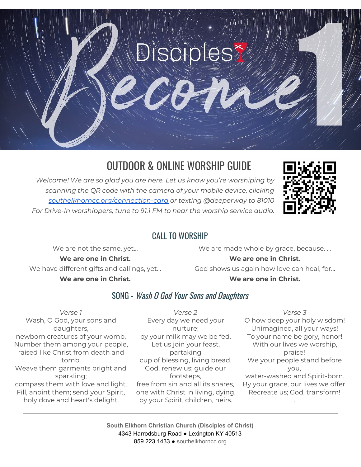

# OUTDOOR & ONLINE WORSHIP GUIDE

*Welcome! We are so glad you are here. Let us know you're worshiping by scanning the QR code with the camera of your mobile device, clicking [southelkhorncc.org/connection-card](https://www.southelkhorncc.org/connection-card) or texting @deeperway to 81010 For Drive-In worshippers, tune to 91.1 FM to hear the worship service audio.*



### CALL TO WORSHIP

We are not the same, yet...

**We are one in Christ.** We have different gifts and callings, yet... **We are one in Christ.**

We are made whole by grace, because...

#### **We are one in Christ.**

God shows us again how love can heal, for... **We are one in Christ.**

### SONG - Wash O God Your Sons and Daughters

*Verse 1* Wash, O God, your sons and daughters, newborn creatures of your womb. Number them among your people, raised like Christ from death and tomb. Weave them garments bright and sparkling; compass them with love and light. Fill, anoint them; send your Spirit, holy dove and heart's delight.

*Verse 2* Every day we need your nurture; by your milk may we be fed. Let us join your feast, partaking cup of blessing, living bread. God, renew us; guide our footsteps, free from sin and all its snares, one with Christ in living, dying, by your Spirit, children, heirs.

*Verse 3* O how deep your holy wisdom! Unimagined, all your ways! To your name be gory, honor! With our lives we worship, praise! We your people stand before you, water-washed and Spirit-born. By your grace, our lives we offer. Recreate us; God, transform!

.

**South Elkhorn Christian Church (Disciples of Christ)** 4343 Harrodsburg Road ● Lexington KY 40513 859.223.1433 ● [southelkhorncc.org](http://www.southelkhorncc.org/)